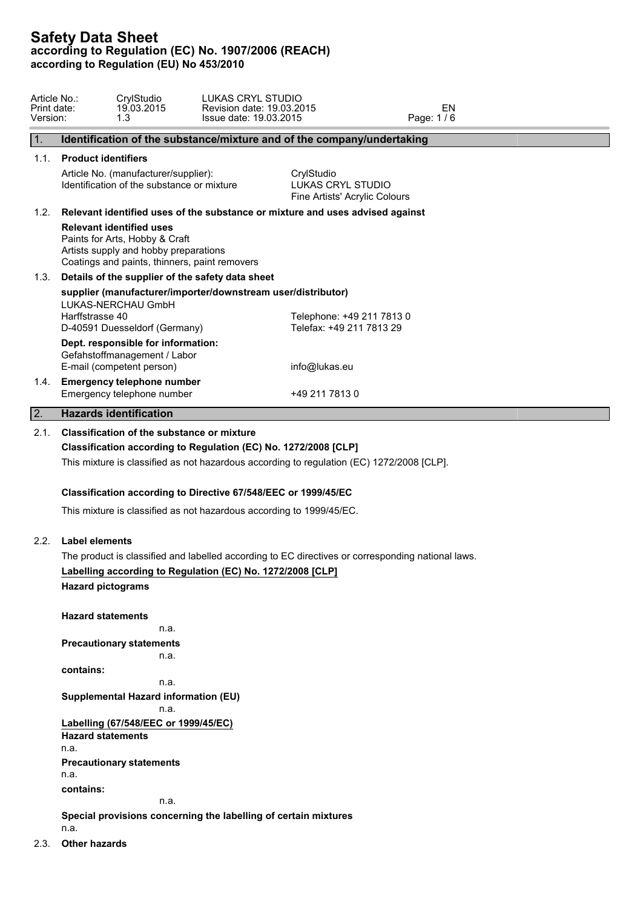| Article No.:<br>Print date:<br>Version: | LUKAS CRYL STUDIO<br>CrylStudio<br>19.03.2015<br>Revision date: 19.03.2015<br>1.3<br>Issue date: 19.03.2015                                                                                                       | EN<br>Page: 1/6                                    |
|-----------------------------------------|-------------------------------------------------------------------------------------------------------------------------------------------------------------------------------------------------------------------|----------------------------------------------------|
| $\overline{1}$ .                        | Identification of the substance/mixture and of the company/undertaking                                                                                                                                            |                                                    |
| 1.1.                                    | <b>Product identifiers</b><br>Article No. (manufacturer/supplier):                                                                                                                                                | CrylStudio                                         |
|                                         | Identification of the substance or mixture                                                                                                                                                                        | LUKAS CRYL STUDIO<br>Fine Artists' Acrylic Colours |
| 1.2.                                    | Relevant identified uses of the substance or mixture and uses advised against                                                                                                                                     |                                                    |
|                                         | <b>Relevant identified uses</b><br>Paints for Arts, Hobby & Craft<br>Artists supply and hobby preparations<br>Coatings and paints, thinners, paint removers                                                       |                                                    |
| 1.3.                                    | Details of the supplier of the safety data sheet                                                                                                                                                                  |                                                    |
|                                         | supplier (manufacturer/importer/downstream user/distributor)<br>LUKAS-NERCHAU GmbH<br>Harffstrasse 40                                                                                                             | Telephone: +49 211 7813 0                          |
|                                         | D-40591 Duesseldorf (Germany)                                                                                                                                                                                     | Telefax: +49 211 7813 29                           |
|                                         | Dept. responsible for information:                                                                                                                                                                                |                                                    |
|                                         | Gefahstoffmanagement / Labor<br>E-mail (competent person)                                                                                                                                                         | info@lukas.eu                                      |
| 1.4.                                    | <b>Emergency telephone number</b><br>Emergency telephone number                                                                                                                                                   | +49 211 7813 0                                     |
| $\overline{2}$ .                        | <b>Hazards identification</b>                                                                                                                                                                                     |                                                    |
| 2.1.                                    | <b>Classification of the substance or mixture</b><br>Classification according to Regulation (EC) No. 1272/2008 [CLP]<br>This mixture is classified as not hazardous according to regulation (EC) 1272/2008 [CLP]. |                                                    |
|                                         | Classification according to Directive 67/548/EEC or 1999/45/EC                                                                                                                                                    |                                                    |
|                                         | This mixture is classified as not hazardous according to 1999/45/EC.                                                                                                                                              |                                                    |
| 2.2.                                    | <b>Label elements</b>                                                                                                                                                                                             |                                                    |
|                                         | The product is classified and labelled according to EC directives or corresponding national laws.                                                                                                                 |                                                    |
|                                         | Labelling according to Regulation (EC) No. 1272/2008 [CLP]<br><b>Hazard pictograms</b>                                                                                                                            |                                                    |
|                                         | <b>Hazard statements</b>                                                                                                                                                                                          |                                                    |
|                                         | n.a.<br><b>Precautionary statements</b>                                                                                                                                                                           |                                                    |
|                                         | n.a.                                                                                                                                                                                                              |                                                    |
|                                         | contains:<br>n.a.                                                                                                                                                                                                 |                                                    |
|                                         | <b>Supplemental Hazard information (EU)</b><br>n.a.                                                                                                                                                               |                                                    |
|                                         | Labelling (67/548/EEC or 1999/45/EC)<br><b>Hazard statements</b>                                                                                                                                                  |                                                    |
|                                         | n.a.                                                                                                                                                                                                              |                                                    |
|                                         | <b>Precautionary statements</b><br>n.a.                                                                                                                                                                           |                                                    |
|                                         | contains:                                                                                                                                                                                                         |                                                    |
|                                         | n.a.                                                                                                                                                                                                              |                                                    |
|                                         | Special provisions concerning the labelling of certain mixtures                                                                                                                                                   |                                                    |

n.a.

2.3. **Other hazards**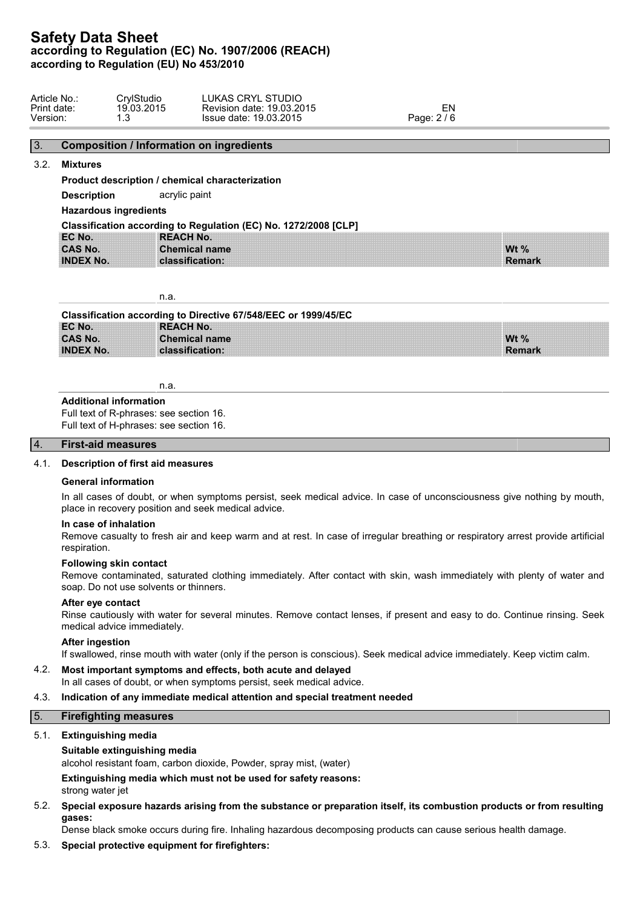| Article No.:<br>Print date:<br>Version: | ≿rvlStudio<br>19.03.2015<br>ີ<br>ن. ا | LUKAS CRYL STUDIO<br>Revision date: 19.03.2015<br>Issue date: 19.03.2015 | FN<br>Page: 2/6 |  |
|-----------------------------------------|---------------------------------------|--------------------------------------------------------------------------|-----------------|--|
|                                         |                                       |                                                                          |                 |  |

# 3. **Composition / Information on ingredients**

# 3.2. **Mixtures**

**Product description / chemical characterization**

**Description** acrylic paint

**Hazardous ingredients**

| Classification according to Regulation (EC) No. 1272/2008 [CLP] |                      |                     |  |  |
|-----------------------------------------------------------------|----------------------|---------------------|--|--|
| EC No.                                                          | <b>REACH No.</b>     |                     |  |  |
| <b>CAS No.</b>                                                  | <b>Chemical name</b> | W <sub>t</sub> $\%$ |  |  |
| <b>INDEX No.</b>                                                | classification:      | <b>Remark</b>       |  |  |

n.a.

| Classification according to Directive 67/548/EEC or 1999/45/EC |                      |         |  |  |
|----------------------------------------------------------------|----------------------|---------|--|--|
| EC No.                                                         | <b>REACH No.</b>     |         |  |  |
| <b>CAS No.</b>                                                 | <b>Chemical name</b> | Wt $\%$ |  |  |
| <b>INDEX No.</b>                                               | classification:      | Remark  |  |  |

n.a.

## **Additional information**

Full text of R-phrases: see section 16. Full text of H-phrases: see section 16.

## 4. **First-aid measures**

# 4.1. **Description of first aid measures**

#### **General information**

In all cases of doubt, or when symptoms persist, seek medical advice. In case of unconsciousness give nothing by mouth, place in recovery position and seek medical advice.

# **In case of inhalation**

Remove casualty to fresh air and keep warm and at rest. In case of irregular breathing or respiratory arrest provide artificial respiration.

### **Following skin contact**

Remove contaminated, saturated clothing immediately. After contact with skin, wash immediately with plenty of water and soap. Do not use solvents or thinners.

#### **After eye contact**

Rinse cautiously with water for several minutes. Remove contact lenses, if present and easy to do. Continue rinsing. Seek medical advice immediately.

#### **After ingestion**

If swallowed, rinse mouth with water (only if the person is conscious). Seek medical advice immediately. Keep victim calm.

# 4.2. **Most important symptoms and effects, both acute and delayed**

In all cases of doubt, or when symptoms persist, seek medical advice.

# 4.3. **Indication of any immediate medical attention and special treatment needed**

# 5. **Firefighting measures**

# 5.1. **Extinguishing media**

# **Suitable extinguishing media**

alcohol resistant foam, carbon dioxide, Powder, spray mist, (water)

**Extinguishing media which must not be used for safety reasons:**

strong water jet

5.2. **Special exposure hazards arising from the substance or preparation itself, its combustion products or from resulting gases:**

Dense black smoke occurs during fire. Inhaling hazardous decomposing products can cause serious health damage.

# 5.3. **Special protective equipment for firefighters:**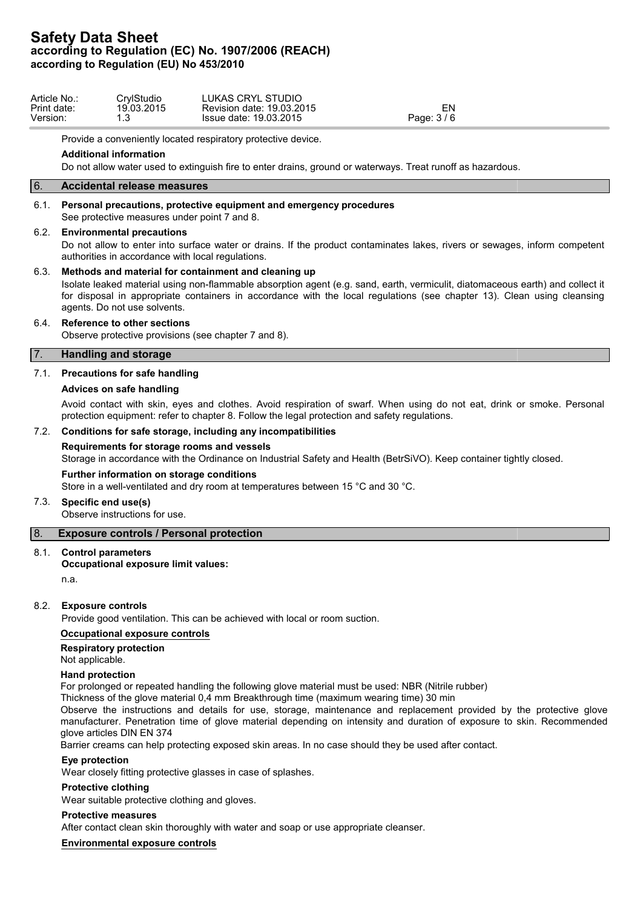| . STUDIO<br>CrvlStudio<br>_UKAS CRYL<br>Revision date: 19.03.2015<br>19.03.2015<br>19.03.2015<br>Page: 3/6<br>Issue date:<br>ں . | Article No.:<br>Print date:<br>Version. |
|----------------------------------------------------------------------------------------------------------------------------------|-----------------------------------------|
|----------------------------------------------------------------------------------------------------------------------------------|-----------------------------------------|

Provide a conveniently located respiratory protective device.

### **Additional information**

Do not allow water used to extinguish fire to enter drains, ground or waterways. Treat runoff as hazardous.

# 6. **Accidental release measures**

### 6.1. **Personal precautions, protective equipment and emergency procedures**

See protective measures under point 7 and 8.

#### 6.2. **Environmental precautions**

Do not allow to enter into surface water or drains. If the product contaminates lakes, rivers or sewages, inform competent authorities in accordance with local regulations.

## 6.3. **Methods and material for containment and cleaning up**

Isolate leaked material using non-flammable absorption agent (e.g. sand, earth, vermiculit, diatomaceous earth) and collect it for disposal in appropriate containers in accordance with the local regulations (see chapter 13). Clean using cleansing agents. Do not use solvents.

## 6.4. **Reference to other sections**

Observe protective provisions (see chapter 7 and 8).

## 7. **Handling and storage**

## 7.1. **Precautions for safe handling**

## **Advices on safe handling**

Avoid contact with skin, eyes and clothes. Avoid respiration of swarf. When using do not eat, drink or smoke. Personal protection equipment: refer to chapter 8. Follow the legal protection and safety regulations.

### 7.2. **Conditions for safe storage, including any incompatibilities**

## **Requirements for storage rooms and vessels**

Storage in accordance with the Ordinance on Industrial Safety and Health (BetrSiVO). Keep container tightly closed.

#### **Further information on storage conditions**

Store in a well-ventilated and dry room at temperatures between 15 °C and 30 °C.

#### 7.3. **Specific end use(s)**

Observe instructions for use.

# 8. **Exposure controls / Personal protection**

### 8.1. **Control parameters**

## **Occupational exposure limit values:**

n.a.

# 8.2. **Exposure controls**

Provide good ventilation. This can be achieved with local or room suction.

#### **Occupational exposure controls**

# **Respiratory protection**

Not applicable.

#### **Hand protection**

For prolonged or repeated handling the following glove material must be used: NBR (Nitrile rubber)

Thickness of the glove material 0,4 mm Breakthrough time (maximum wearing time) 30 min

Observe the instructions and details for use, storage, maintenance and replacement provided by the protective glove manufacturer. Penetration time of glove material depending on intensity and duration of exposure to skin. Recommended glove articles DIN EN 374

Barrier creams can help protecting exposed skin areas. In no case should they be used after contact.

#### **Eye protection**

Wear closely fitting protective glasses in case of splashes.

# **Protective clothing**

Wear suitable protective clothing and gloves.

# **Protective measures**

After contact clean skin thoroughly with water and soap or use appropriate cleanser.

# **Environmental exposure controls**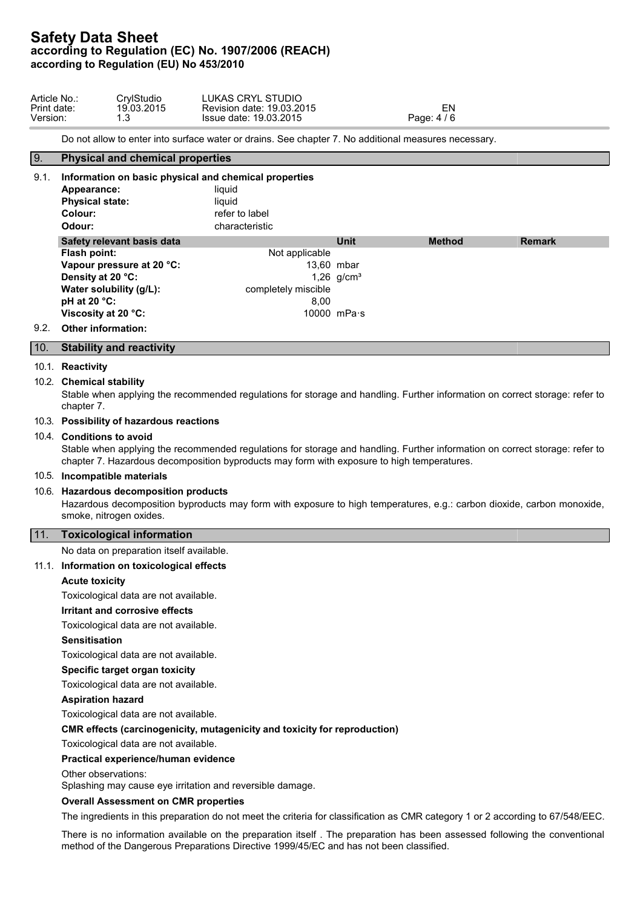| Article No.: | CrylStudio | LUKAS CRYL STUDIO         |             |  |
|--------------|------------|---------------------------|-------------|--|
| Print date:  | 19.03.2015 | Revision date: 19.03.2015 | ćΝ          |  |
| Version:     |            | Issue date: 19.03.2015    | Page: 4 / 6 |  |

Do not allow to enter into surface water or drains. See chapter 7. No additional measures necessary.

# 9. **Physical and chemical properties**

| 9.1. | Information on basic physical and chemical properties<br>Appearance:<br><b>Physical state:</b><br>Colour:<br>Odour: | liauid<br>liquid<br>refer to label<br>characteristic |                 |               |  |
|------|---------------------------------------------------------------------------------------------------------------------|------------------------------------------------------|-----------------|---------------|--|
|      | Safety relevant basis data                                                                                          | <b>Unit</b>                                          | <b>Method</b>   | <b>Remark</b> |  |
|      | Flash point:                                                                                                        | Not applicable                                       |                 |               |  |
|      | Vapour pressure at 20 °C:                                                                                           |                                                      | 13.60 mbar      |               |  |
|      | Density at 20 °C:                                                                                                   |                                                      | 1,26 $q/cm^{3}$ |               |  |
|      | Water solubility (g/L):                                                                                             | completely miscible                                  |                 |               |  |
|      | pH at 20 $°C$ :                                                                                                     | 8.00                                                 |                 |               |  |
|      | Viscosity at 20 °C:                                                                                                 |                                                      | 10000 $mPa·s$   |               |  |
| 9.2. | <b>Other information:</b>                                                                                           |                                                      |                 |               |  |

#### 10. **Stability and reactivity**

#### 10.1. **Reactivity**

#### 10.2. **Chemical stability**

Stable when applying the recommended regulations for storage and handling. Further information on correct storage: refer to chapter 7.

## 10.3. **Possibility of hazardous reactions**

## 10.4. **Conditions to avoid**

Stable when applying the recommended regulations for storage and handling. Further information on correct storage: refer to chapter 7. Hazardous decomposition byproducts may form with exposure to high temperatures.

### 10.5. **Incompatible materials**

## 10.6. **Hazardous decomposition products**

Hazardous decomposition byproducts may form with exposure to high temperatures, e.g.: carbon dioxide, carbon monoxide, smoke, nitrogen oxides.

#### 11. **Toxicological information**

No data on preparation itself available.

#### 11.1. **Information on toxicological effects**

#### **Acute toxicity**

Toxicological data are not available.

#### **Irritant and corrosive effects**

Toxicological data are not available.

#### **Sensitisation**

Toxicological data are not available.

#### **Specific target organ toxicity**

Toxicological data are not available.

#### **Aspiration hazard**

Toxicological data are not available.

#### **CMR effects (carcinogenicity, mutagenicity and toxicity for reproduction)**

Toxicological data are not available.

## **Practical experience/human evidence**

Other observations:

Splashing may cause eye irritation and reversible damage.

### **Overall Assessment on CMR properties**

The ingredients in this preparation do not meet the criteria for classification as CMR category 1 or 2 according to 67/548/EEC.

There is no information available on the preparation itself . The preparation has been assessed following the conventional method of the Dangerous Preparations Directive 1999/45/EC and has not been classified.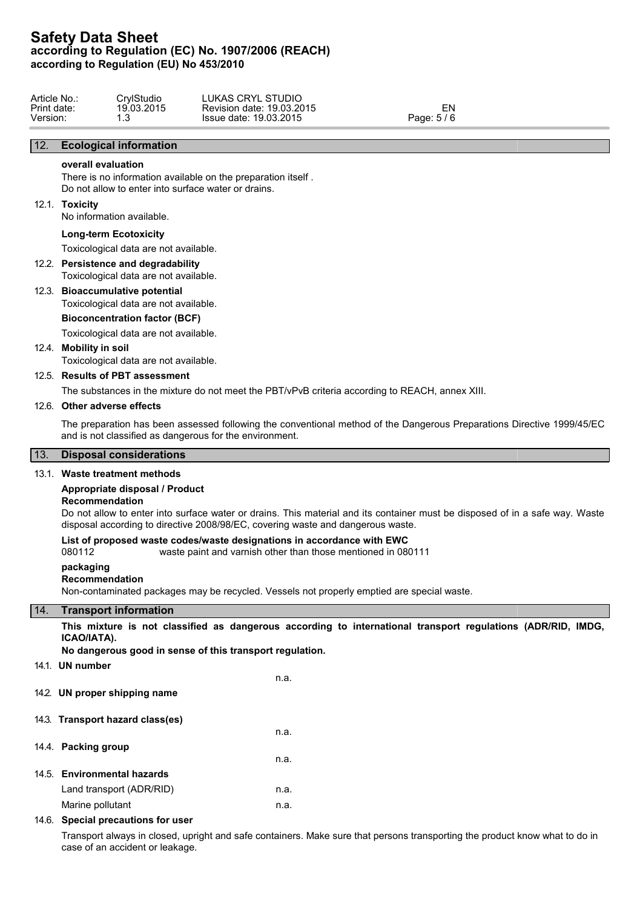| Article No  | CrylStudio | LUKAS CRYL STUDIO            |           |
|-------------|------------|------------------------------|-----------|
| Print date: | 19.03.2015 | 19.03.2015<br>Revision date: | -IV       |
| Version:    |            | 19.03.2015<br>Issue date:    | Page: 5/6 |

# 12. **Ecological information**

# **overall evaluation**

There is no information available on the preparation itself . Do not allow to enter into surface water or drains.

#### 12.1. **Toxicity**

No information available.

#### **Long-term Ecotoxicity**

Toxicological data are not available.

# 12.2. **Persistence and degradability**

Toxicological data are not available.

# 12.3. **Bioaccumulative potential**

Toxicological data are not available.

## **Bioconcentration factor (BCF)**

Toxicological data are not available.

# 12.4. **Mobility in soil**

Toxicological data are not available.

# 12.5. **Results of PBT assessment**

The substances in the mixture do not meet the PBT/vPvB criteria according to REACH, annex XIII.

#### 12.6. **Other adverse effects**

The preparation has been assessed following the conventional method of the Dangerous Preparations Directive 1999/45/EC and is not classified as dangerous for the environment.

# 13. **Disposal considerations**

# 13.1. **Waste treatment methods**

## **Appropriate disposal / Product**

#### **Recommendation**

Do not allow to enter into surface water or drains. This material and its container must be disposed of in a safe way. Waste disposal according to directive 2008/98/EC, covering waste and dangerous waste.

#### **List of proposed waste codes/waste designations in accordance with EWC**

080112 waste paint and varnish other than those mentioned in 080111

#### **packaging**

# **Recommendation**

Non-contaminated packages may be recycled. Vessels not properly emptied are special waste.

## 14. **Transport information**

**This mixture is not classified as dangerous according to international transport regulations (ADR/RID, IMDG, ICAO/IATA).**

**No dangerous good in sense of this transport regulation.**

14.1. **UN number**

n.a.

n.a.

n.a.

- 14.2. **UN proper shipping name**
- 14.3. **Transport hazard class(es)**
- 14.4. **Packing group**
- 
- 14.5. **Environmental hazards** Land transport (ADR/RID) n.a. Marine pollutant n.a.

#### 14.6. **Special precautions for user**

Transport always in closed, upright and safe containers. Make sure that persons transporting the product know what to do in case of an accident or leakage.